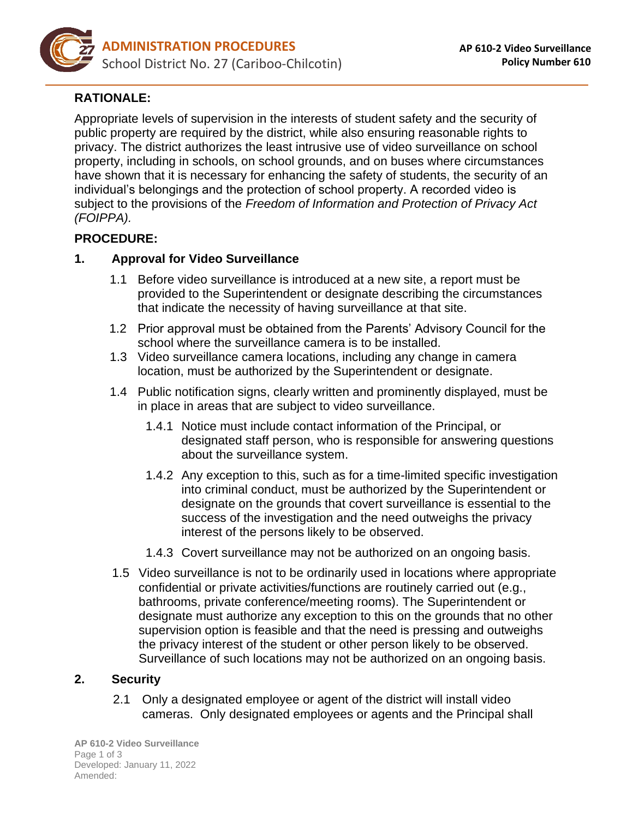

# **RATIONALE:**

Appropriate levels of supervision in the interests of student safety and the security of public property are required by the district, while also ensuring reasonable rights to privacy. The district authorizes the least intrusive use of video surveillance on school property, including in schools, on school grounds, and on buses where circumstances have shown that it is necessary for enhancing the safety of students, the security of an individual's belongings and the protection of school property. A recorded video is subject to the provisions of the *Freedom of Information and Protection of Privacy Act (FOIPPA).*

### **PROCEDURE:**

#### **1. Approval for Video Surveillance**

- 1.1 Before video surveillance is introduced at a new site, a report must be provided to the Superintendent or designate describing the circumstances that indicate the necessity of having surveillance at that site.
- 1.2 Prior approval must be obtained from the Parents' Advisory Council for the school where the surveillance camera is to be installed.
- 1.3 Video surveillance camera locations, including any change in camera location, must be authorized by the Superintendent or designate.
- 1.4 Public notification signs, clearly written and prominently displayed, must be in place in areas that are subject to video surveillance.
	- 1.4.1 Notice must include contact information of the Principal, or designated staff person, who is responsible for answering questions about the surveillance system.
	- 1.4.2 Any exception to this, such as for a time-limited specific investigation into criminal conduct, must be authorized by the Superintendent or designate on the grounds that covert surveillance is essential to the success of the investigation and the need outweighs the privacy interest of the persons likely to be observed.
	- 1.4.3 Covert surveillance may not be authorized on an ongoing basis.
- 1.5 Video surveillance is not to be ordinarily used in locations where appropriate confidential or private activities/functions are routinely carried out (e.g., bathrooms, private conference/meeting rooms). The Superintendent or designate must authorize any exception to this on the grounds that no other supervision option is feasible and that the need is pressing and outweighs the privacy interest of the student or other person likely to be observed. Surveillance of such locations may not be authorized on an ongoing basis.

#### **2. Security**

2.1 Only a designated employee or agent of the district will install video cameras. Only designated employees or agents and the Principal shall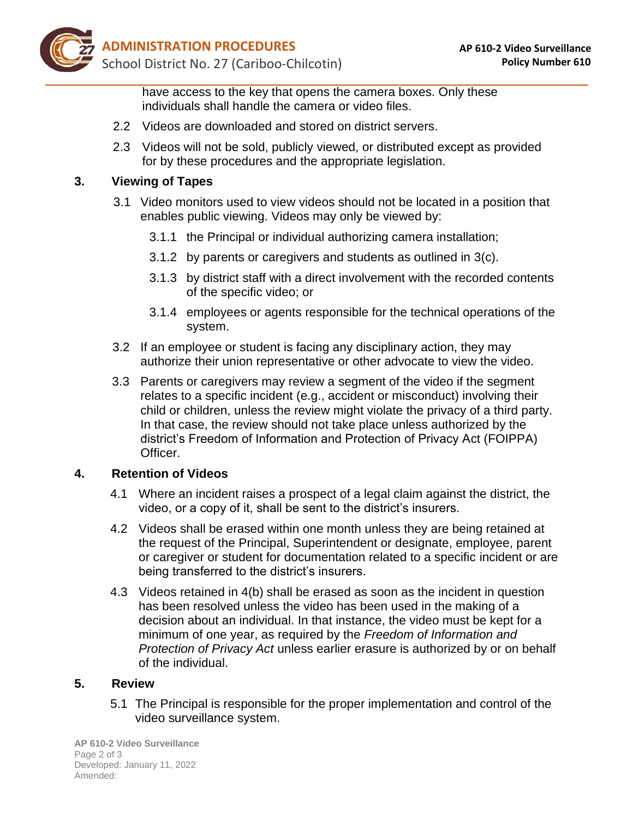

have access to the key that opens the camera boxes. Only these individuals shall handle the camera or video files.

- 2.2 Videos are downloaded and stored on district servers.
- 2.3 Videos will not be sold, publicly viewed, or distributed except as provided for by these procedures and the appropriate legislation.

### **3. Viewing of Tapes**

- 3.1 Video monitors used to view videos should not be located in a position that enables public viewing. Videos may only be viewed by:
	- 3.1.1 the Principal or individual authorizing camera installation;
	- 3.1.2 by parents or caregivers and students as outlined in 3(c).
	- 3.1.3 by district staff with a direct involvement with the recorded contents of the specific video; or
	- 3.1.4 employees or agents responsible for the technical operations of the system.
- 3.2 If an employee or student is facing any disciplinary action, they may authorize their union representative or other advocate to view the video.
- 3.3 Parents or caregivers may review a segment of the video if the segment relates to a specific incident (e.g., accident or misconduct) involving their child or children, unless the review might violate the privacy of a third party. In that case, the review should not take place unless authorized by the district's Freedom of Information and Protection of Privacy Act (FOIPPA) Officer.

## **4. Retention of Videos**

- 4.1 Where an incident raises a prospect of a legal claim against the district, the video, or a copy of it, shall be sent to the district's insurers.
- 4.2 Videos shall be erased within one month unless they are being retained at the request of the Principal, Superintendent or designate, employee, parent or caregiver or student for documentation related to a specific incident or are being transferred to the district's insurers.
- 4.3 Videos retained in 4(b) shall be erased as soon as the incident in question has been resolved unless the video has been used in the making of a decision about an individual. In that instance, the video must be kept for a minimum of one year, as required by the *Freedom of Information and Protection of Privacy Act* unless earlier erasure is authorized by or on behalf of the individual.

#### **5. Review**

5.1 The Principal is responsible for the proper implementation and control of the video surveillance system.